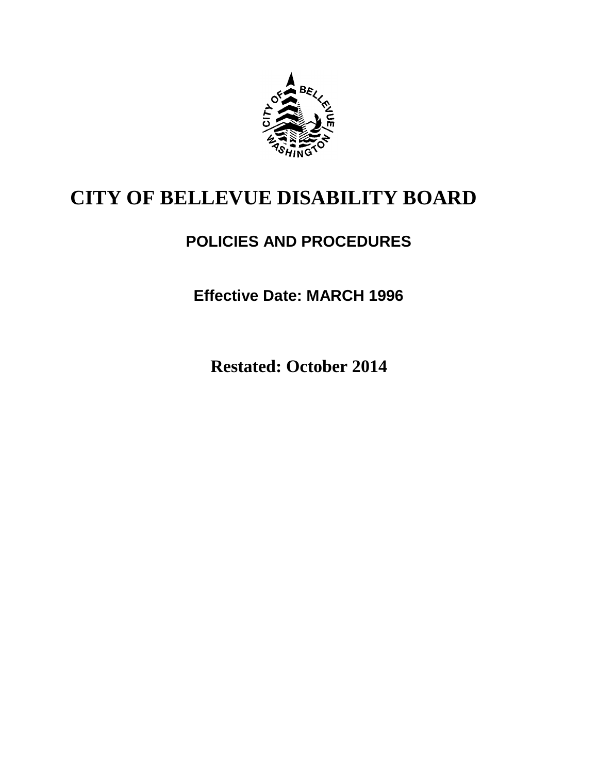

# **CITY OF BELLEVUE DISABILITY BOARD**

## **POLICIES AND PROCEDURES**

**Effective Date: MARCH 1996**

**Restated: October 2014**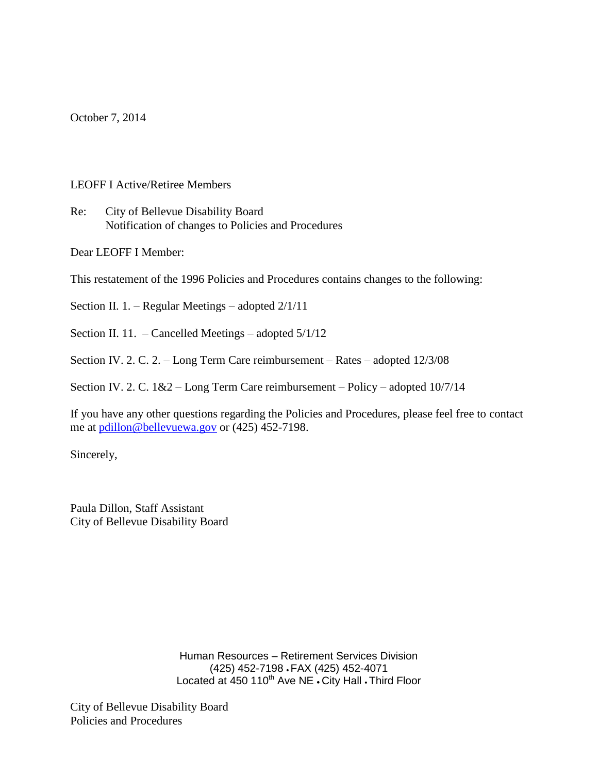October 7, 2014

LEOFF I Active/Retiree Members

Re: City of Bellevue Disability Board Notification of changes to Policies and Procedures

Dear LEOFF I Member:

This restatement of the 1996 Policies and Procedures contains changes to the following:

Section II. 1. – Regular Meetings – adopted 2/1/11

Section II. 11. – Cancelled Meetings – adopted 5/1/12

Section IV. 2. C. 2. – Long Term Care reimbursement – Rates – adopted 12/3/08

Section IV. 2. C. 1&2 – Long Term Care reimbursement – Policy – adopted 10/7/14

If you have any other questions regarding the Policies and Procedures, please feel free to contact me at [pdillon@bellevuewa.gov](mailto:pdillon@bellevuewa.gov) or (425) 452-7198.

Sincerely,

Paula Dillon, Staff Assistant City of Bellevue Disability Board

> Human Resources – Retirement Services Division (425) 452-7198 FAX (425) 452-4071 Located at 450 110<sup>th</sup> Ave NE . City Hall . Third Floor

City of Bellevue Disability Board Policies and Procedures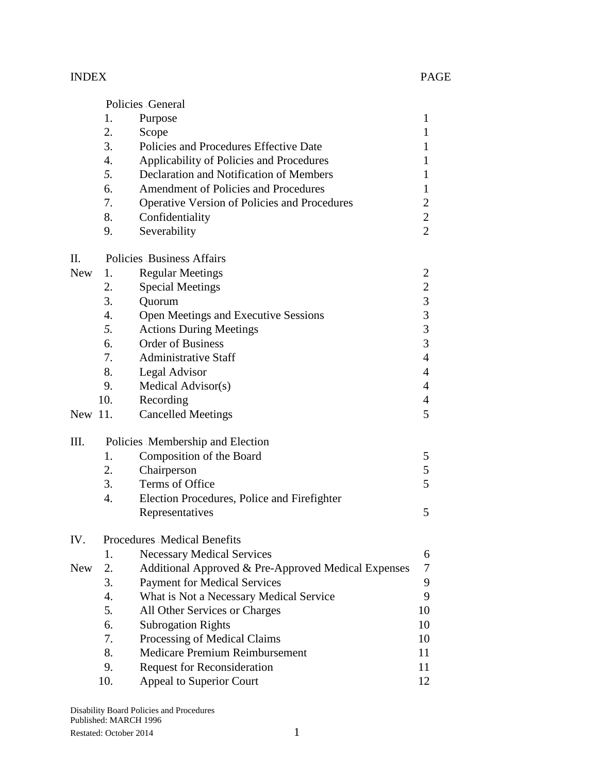|         | Policies General                 |                                                     |                |  |  |
|---------|----------------------------------|-----------------------------------------------------|----------------|--|--|
|         | 1.                               | Purpose                                             | 1              |  |  |
|         | 2.                               | Scope                                               | $\mathbf{1}$   |  |  |
|         | 3.                               | Policies and Procedures Effective Date              | $\mathbf{1}$   |  |  |
|         | 4.                               | Applicability of Policies and Procedures            | 1              |  |  |
|         | 5.                               | Declaration and Notification of Members             | $\mathbf{1}$   |  |  |
|         | 6.                               | <b>Amendment of Policies and Procedures</b>         | 1              |  |  |
|         | 7.                               | <b>Operative Version of Policies and Procedures</b> | $\overline{2}$ |  |  |
|         | 8.                               | Confidentiality                                     | $\sqrt{2}$     |  |  |
|         | 9.                               | Severability                                        | $\overline{2}$ |  |  |
| П.      |                                  | <b>Policies Business Affairs</b>                    |                |  |  |
| New     | 1.                               | <b>Regular Meetings</b>                             | 2              |  |  |
|         | 2.                               | <b>Special Meetings</b>                             | $\overline{c}$ |  |  |
|         | 3.                               | Quorum                                              | $\overline{3}$ |  |  |
|         | $\overline{4}$ .                 | Open Meetings and Executive Sessions                | $\mathfrak{Z}$ |  |  |
|         | 5.                               | <b>Actions During Meetings</b>                      | 3              |  |  |
|         | 6.                               | <b>Order of Business</b>                            | 3              |  |  |
|         | 7.                               | <b>Administrative Staff</b>                         | $\overline{4}$ |  |  |
|         | 8.                               | Legal Advisor                                       | $\overline{4}$ |  |  |
|         | 9.                               | Medical Advisor(s)                                  | $\overline{4}$ |  |  |
|         | 10.                              | Recording                                           | $\overline{4}$ |  |  |
| New 11. |                                  | <b>Cancelled Meetings</b>                           | 5              |  |  |
| Ш.      | Policies Membership and Election |                                                     |                |  |  |
|         | 1.                               | Composition of the Board                            | 5              |  |  |
|         | 2.                               | Chairperson                                         | 5              |  |  |
|         | 3.                               | Terms of Office                                     | 5              |  |  |
|         | $\overline{4}$ .                 | Election Procedures, Police and Firefighter         |                |  |  |
|         |                                  | Representatives                                     | 5              |  |  |
| IV.     | Procedures Medical Benefits      |                                                     |                |  |  |
|         | 1.                               | <b>Necessary Medical Services</b>                   | 6              |  |  |
| New     | 2.                               | Additional Approved & Pre-Approved Medical Expenses | 7              |  |  |
|         | 3.                               | <b>Payment for Medical Services</b>                 | 9              |  |  |
|         | 4.                               | What is Not a Necessary Medical Service             | 9              |  |  |
|         | 5.                               | All Other Services or Charges                       | 10             |  |  |
|         | 6.                               | <b>Subrogation Rights</b>                           | 10             |  |  |
|         | 7.                               | Processing of Medical Claims                        | 10             |  |  |
|         | 8.                               | Medicare Premium Reimbursement                      | 11             |  |  |
|         | 9.                               | <b>Request for Reconsideration</b>                  | 11             |  |  |
|         | 10.                              | Appeal to Superior Court                            | 12             |  |  |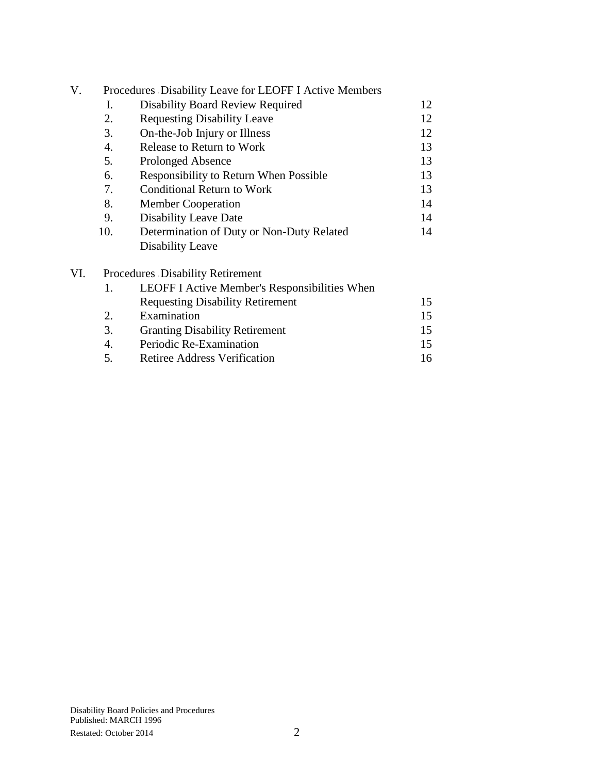| V.  |                  | Procedures Disability Leave for LEOFF I Active Members |    |
|-----|------------------|--------------------------------------------------------|----|
|     | Ι.               | <b>Disability Board Review Required</b>                | 12 |
|     | 2.               | <b>Requesting Disability Leave</b>                     | 12 |
|     | 3.               | On-the-Job Injury or Illness                           | 12 |
|     | $\overline{4}$ . | Release to Return to Work                              | 13 |
|     | 5.               | <b>Prolonged Absence</b>                               | 13 |
|     | 6.               | Responsibility to Return When Possible                 | 13 |
|     | 7.               | <b>Conditional Return to Work</b>                      | 13 |
|     | 8.               | <b>Member Cooperation</b>                              | 14 |
|     | 9.               | <b>Disability Leave Date</b>                           | 14 |
|     | 10.              | Determination of Duty or Non-Duty Related              | 14 |
|     |                  | <b>Disability Leave</b>                                |    |
| VI. |                  | <b>Procedures Disability Retirement</b>                |    |
|     | 1.               | LEOFF I Active Member's Responsibilities When          |    |
|     |                  | <b>Requesting Disability Retirement</b>                | 15 |
|     | 2.               | Examination                                            | 15 |
|     | 3.               | <b>Granting Disability Retirement</b>                  | 15 |
|     | 4.               | Periodic Re-Examination                                | 15 |

| <b>Retiree Address Verification</b> | 16 |
|-------------------------------------|----|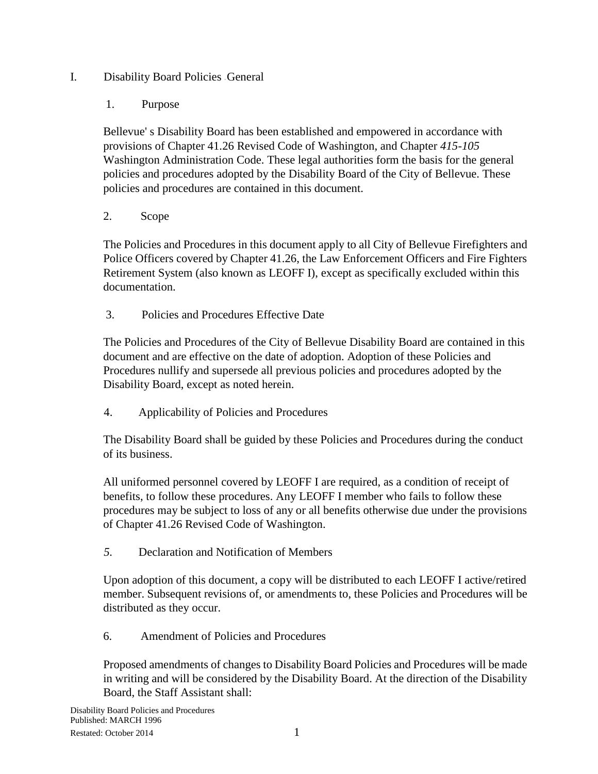#### I. Disability Board Policies -General

#### 1. Purpose

Bellevue' s Disability Board has been established and empowered in accordance with provisions of Chapter 41.26 Revised Code of Washington, and Chapter *415-105*  Washington Administration Code. These legal authorities form the basis for the general policies and procedures adopted by the Disability Board of the City of Bellevue. These policies and procedures are contained in this document.

#### 2. Scope

The Policies and Procedures in this document apply to all City of Bellevue Firefighters and Police Officers covered by Chapter 41.26, the Law Enforcement Officers and Fire Fighters Retirement System (also known as LEOFF I), except as specifically excluded within this documentation.

3. Policies and Procedures Effective Date

The Policies and Procedures of the City of Bellevue Disability Board are contained in this document and are effective on the date of adoption. Adoption of these Policies and Procedures nullify and supersede all previous policies and procedures adopted by the Disability Board, except as noted herein.

4. Applicability of Policies and Procedures

The Disability Board shall be guided by these Policies and Procedures during the conduct of its business.

All uniformed personnel covered by LEOFF I are required, as a condition of receipt of benefits, to follow these procedures. Any LEOFF I member who fails to follow these procedures may be subject to loss of any or all benefits otherwise due under the provisions of Chapter 41.26 Revised Code of Washington.

*5.* Declaration and Notification of Members

Upon adoption of this document, a copy will be distributed to each LEOFF I active/retired member. Subsequent revisions of, or amendments to, these Policies and Procedures will be distributed as they occur.

6. Amendment of Policies and Procedures

Proposed amendments of changes to Disability Board Policies and Procedures will be made in writing and will be considered by the Disability Board. At the direction of the Disability Board, the Staff Assistant shall: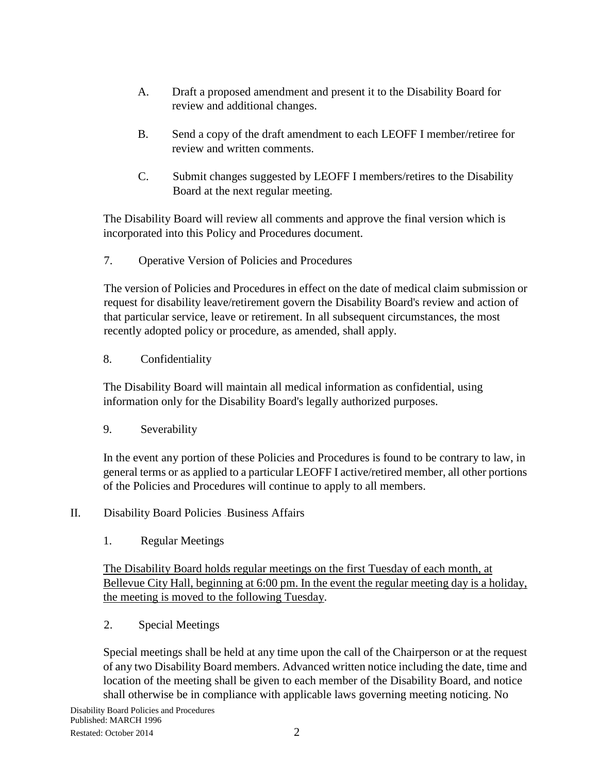- A. Draft a proposed amendment and present it to the Disability Board for review and additional changes.
- B. Send a copy of the draft amendment to each LEOFF I member/retiree for review and written comments.
- C. Submit changes suggested by LEOFF I members/retires to the Disability Board at the next regular meeting.

The Disability Board will review all comments and approve the final version which is incorporated into this Policy and Procedures document.

7. Operative Version of Policies and Procedures

The version of Policies and Procedures in effect on the date of medical claim submission or request for disability leave/retirement govern the Disability Board's review and action of that particular service, leave or retirement. In all subsequent circumstances, the most recently adopted policy or procedure, as amended, shall apply.

#### 8. Confidentiality

The Disability Board will maintain all medical information as confidential, using information only for the Disability Board's legally authorized purposes.

9. Severability

In the event any portion of these Policies and Procedures is found to be contrary to law, in general terms or as applied to a particular LEOFF I active/retired member, all other portions of the Policies and Procedures will continue to apply to all members.

#### II. Disability Board Policies -Business Affairs

1. Regular Meetings

The Disability Board holds regular meetings on the first Tuesday of each month, at Bellevue City Hall, beginning at 6:00 pm. In the event the regular meeting day is a holiday, the meeting is moved to the following Tuesday.

2. Special Meetings

Special meetings shall be held at any time upon the call of the Chairperson or at the request of any two Disability Board members. Advanced written notice including the date, time and location of the meeting shall be given to each member of the Disability Board, and notice shall otherwise be in compliance with applicable laws governing meeting noticing. No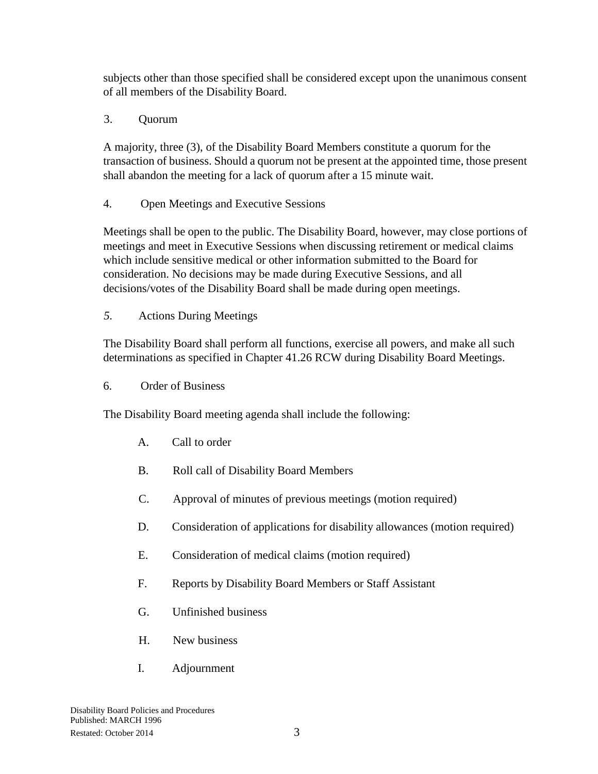subjects other than those specified shall be considered except upon the unanimous consent of all members of the Disability Board.

3. Quorum

A majority, three (3), of the Disability Board Members constitute a quorum for the transaction of business. Should a quorum not be present at the appointed time, those present shall abandon the meeting for a lack of quorum after a 15 minute wait.

4. Open Meetings and Executive Sessions

Meetings shall be open to the public. The Disability Board, however, may close portions of meetings and meet in Executive Sessions when discussing retirement or medical claims which include sensitive medical or other information submitted to the Board for consideration. No decisions may be made during Executive Sessions, and all decisions/votes of the Disability Board shall be made during open meetings.

*5.* Actions During Meetings

The Disability Board shall perform all functions, exercise all powers, and make all such determinations as specified in Chapter 41.26 RCW during Disability Board Meetings.

6. Order of Business

The Disability Board meeting agenda shall include the following:

- A. Call to order
- B. Roll call of Disability Board Members
- C. Approval of minutes of previous meetings (motion required)
- D. Consideration of applications for disability allowances (motion required)
- E. Consideration of medical claims (motion required)
- F. Reports by Disability Board Members or Staff Assistant
- G. Unfinished business
- H. New business
- I. Adjournment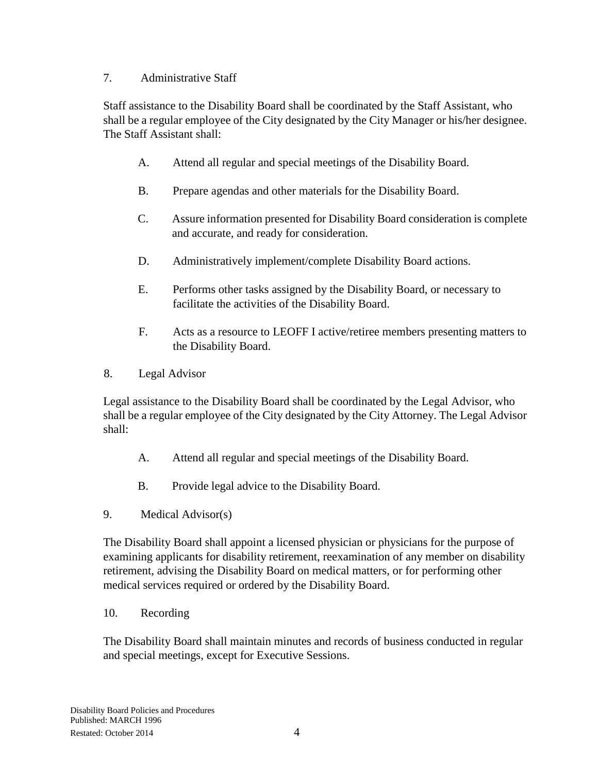#### 7. Administrative Staff

Staff assistance to the Disability Board shall be coordinated by the Staff Assistant, who shall be a regular employee of the City designated by the City Manager or his/her designee. The Staff Assistant shall:

- A. Attend all regular and special meetings of the Disability Board.
- B. Prepare agendas and other materials for the Disability Board.
- C. Assure information presented for Disability Board consideration is complete and accurate, and ready for consideration.
- D. Administratively implement/complete Disability Board actions.
- E. Performs other tasks assigned by the Disability Board, or necessary to facilitate the activities of the Disability Board.
- F. Acts as a resource to LEOFF I active/retiree members presenting matters to the Disability Board.
- 8. Legal Advisor

Legal assistance to the Disability Board shall be coordinated by the Legal Advisor, who shall be a regular employee of the City designated by the City Attorney. The Legal Advisor shall:

- A. Attend all regular and special meetings of the Disability Board.
- B. Provide legal advice to the Disability Board.
- 9. Medical Advisor(s)

The Disability Board shall appoint a licensed physician or physicians for the purpose of examining applicants for disability retirement, reexamination of any member on disability retirement, advising the Disability Board on medical matters, or for performing other medical services required or ordered by the Disability Board.

10. Recording

The Disability Board shall maintain minutes and records of business conducted in regular and special meetings, except for Executive Sessions.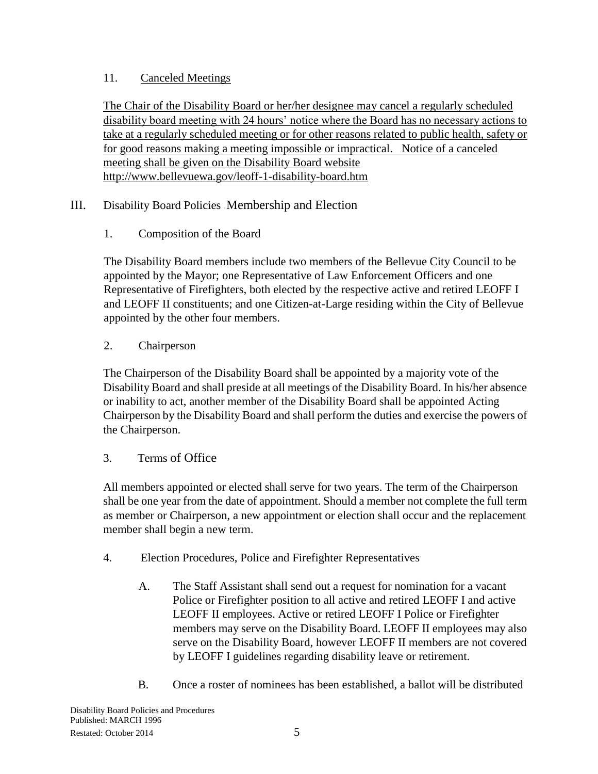#### 11. Canceled Meetings

The Chair of the Disability Board or her/her designee may cancel a regularly scheduled disability board meeting with 24 hours' notice where the Board has no necessary actions to take at a regularly scheduled meeting or for other reasons related to public health, safety or for good reasons making a meeting impossible or impractical. Notice of a canceled meeting shall be given on the Disability Board website [http://www.bellevuewa.gov/leoff-1-disability-board.htm](http://www.bellevuewa.gov/UserFiles/Servers/Server_4779004/file/leoff-1-disability-board.htm)

## III. Disability Board Policies -Membership and Election

1. Composition of the Board

The Disability Board members include two members of the Bellevue City Council to be appointed by the Mayor; one Representative of Law Enforcement Officers and one Representative of Firefighters, both elected by the respective active and retired LEOFF I and LEOFF II constituents; and one Citizen-at-Large residing within the City of Bellevue appointed by the other four members.

## 2. Chairperson

The Chairperson of the Disability Board shall be appointed by a majority vote of the Disability Board and shall preside at all meetings of the Disability Board. In his/her absence or inability to act, another member of the Disability Board shall be appointed Acting Chairperson by the Disability Board and shall perform the duties and exercise the powers of the Chairperson.

## 3. Terms of Office

All members appointed or elected shall serve for two years. The term of the Chairperson shall be one year from the date of appointment. Should a member not complete the full term as member or Chairperson, a new appointment or election shall occur and the replacement member shall begin a new term.

- 4. Election Procedures, Police and Firefighter Representatives
	- A. The Staff Assistant shall send out a request for nomination for a vacant Police or Firefighter position to all active and retired LEOFF I and active LEOFF II employees. Active or retired LEOFF I Police or Firefighter members may serve on the Disability Board. LEOFF II employees may also serve on the Disability Board, however LEOFF II members are not covered by LEOFF I guidelines regarding disability leave or retirement.
	- B. Once a roster of nominees has been established, a ballot will be distributed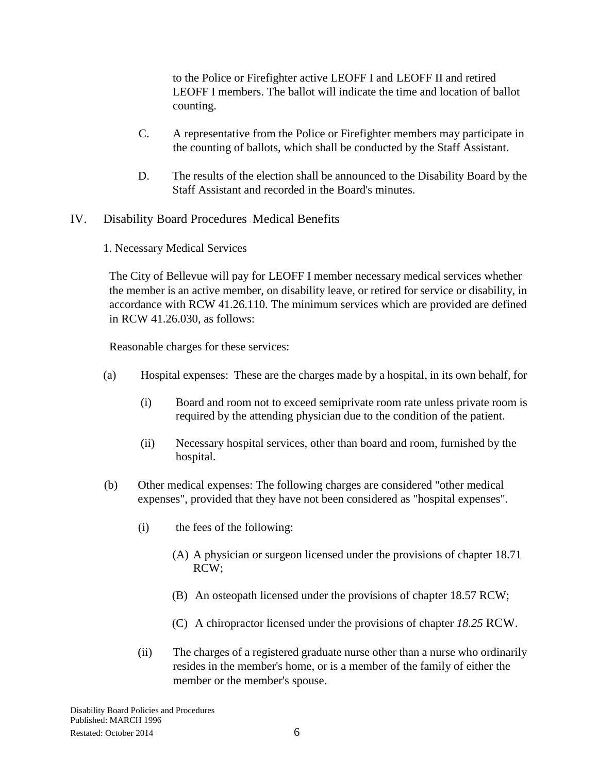to the Police or Firefighter active LEOFF I and LEOFF II and retired LEOFF I members. The ballot will indicate the time and location of ballot counting.

- C. A representative from the Police or Firefighter members may participate in the counting of ballots, which shall be conducted by the Staff Assistant.
- D. The results of the election shall be announced to the Disability Board by the Staff Assistant and recorded in the Board's minutes.
- IV. Disability Board Procedures -Medical Benefits
	- 1. Necessary Medical Services

The City of Bellevue will pay for LEOFF I member necessary medical services whether the member is an active member, on disability leave, or retired for service or disability, in accordance with RCW 41.26.110. The minimum services which are provided are defined in RCW 41.26.030, as follows:

Reasonable charges for these services:

- (a) Hospital expenses: These are the charges made by a hospital, in its own behalf, for
	- (i) Board and room not to exceed semiprivate room rate unless private room is required by the attending physician due to the condition of the patient.
	- (ii) Necessary hospital services, other than board and room, furnished by the hospital.
- (b) Other medical expenses: The following charges are considered "other medical expenses", provided that they have not been considered as "hospital expenses".
	- (i) the fees of the following:
		- (A) A physician or surgeon licensed under the provisions of chapter 18.71 RCW;
		- (B) An osteopath licensed under the provisions of chapter 18.57 RCW;
		- (C) A chiropractor licensed under the provisions of chapter *18.25* RCW.
	- (ii) The charges of a registered graduate nurse other than a nurse who ordinarily resides in the member's home, or is a member of the family of either the member or the member's spouse.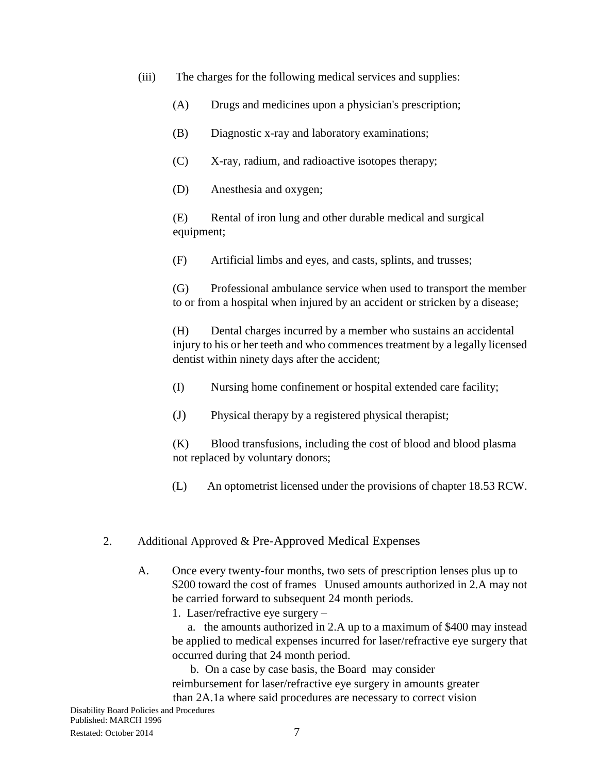- (iii) The charges for the following medical services and supplies:
	- (A) Drugs and medicines upon a physician's prescription;
	- (B) Diagnostic x-ray and laboratory examinations;
	- (C) X-ray, radium, and radioactive isotopes therapy;
	- (D) Anesthesia and oxygen;

(E) Rental of iron lung and other durable medical and surgical equipment;

(F) Artificial limbs and eyes, and casts, splints, and trusses;

(G) Professional ambulance service when used to transport the member to or from a hospital when injured by an accident or stricken by a disease;

(H) Dental charges incurred by a member who sustains an accidental injury to his or her teeth and who commences treatment by a legally licensed dentist within ninety days after the accident;

(I) Nursing home confinement or hospital extended care facility;

(J) Physical therapy by a registered physical therapist;

(K) Blood transfusions, including the cost of blood and blood plasma not replaced by voluntary donors;

(L) An optometrist licensed under the provisions of chapter 18.53 RCW.

#### 2. Additional Approved & Pre-Approved Medical Expenses

A. Once every twenty-four months, two sets of prescription lenses plus up to \$200 toward the cost of frames Unused amounts authorized in 2.A may not be carried forward to subsequent 24 month periods.

1. Laser/refractive eye surgery –

 a. the amounts authorized in 2.A up to a maximum of \$400 may instead be applied to medical expenses incurred for laser/refractive eye surgery that occurred during that 24 month period.

 b. On a case by case basis, the Board may consider reimbursement for laser/refractive eye surgery in amounts greater than 2A.1a where said procedures are necessary to correct vision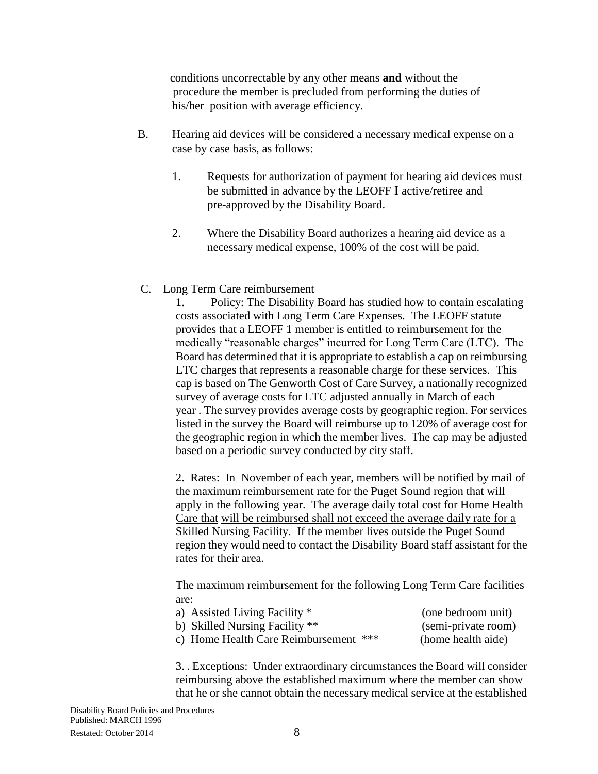conditions uncorrectable by any other means **and** without the procedure the member is precluded from performing the duties of his/her position with average efficiency.

- B. Hearing aid devices will be considered a necessary medical expense on a case by case basis, as follows:
	- 1. Requests for authorization of payment for hearing aid devices must be submitted in advance by the LEOFF I active/retiree and pre-approved by the Disability Board.
	- 2. Where the Disability Board authorizes a hearing aid device as a necessary medical expense, 100% of the cost will be paid.

#### C. Long Term Care reimbursement

1. Policy: The Disability Board has studied how to contain escalating costs associated with Long Term Care Expenses. The LEOFF statute provides that a LEOFF 1 member is entitled to reimbursement for the medically "reasonable charges" incurred for Long Term Care (LTC). The Board has determined that it is appropriate to establish a cap on reimbursing LTC charges that represents a reasonable charge for these services. This cap is based on The Genworth Cost of Care Survey, a nationally recognized survey of average costs for LTC adjusted annually in March of each year . The survey provides average costs by geographic region. For services listed in the survey the Board will reimburse up to 120% of average cost for the geographic region in which the member lives. The cap may be adjusted based on a periodic survey conducted by city staff.

2. Rates: In November of each year, members will be notified by mail of the maximum reimbursement rate for the Puget Sound region that will apply in the following year. The average daily total cost for Home Health Care that will be reimbursed shall not exceed the average daily rate for a Skilled Nursing Facility. If the member lives outside the Puget Sound region they would need to contact the Disability Board staff assistant for the rates for their area.

The maximum reimbursement for the following Long Term Care facilities are:

| a) Assisted Living Facility *         | (one bedroom unit)  |
|---------------------------------------|---------------------|
| b) Skilled Nursing Facility **        | (semi-private room) |
| c) Home Health Care Reimbursement *** | (home health aide)  |
|                                       |                     |

3. . Exceptions: Under extraordinary circumstances the Board will consider reimbursing above the established maximum where the member can show that he or she cannot obtain the necessary medical service at the established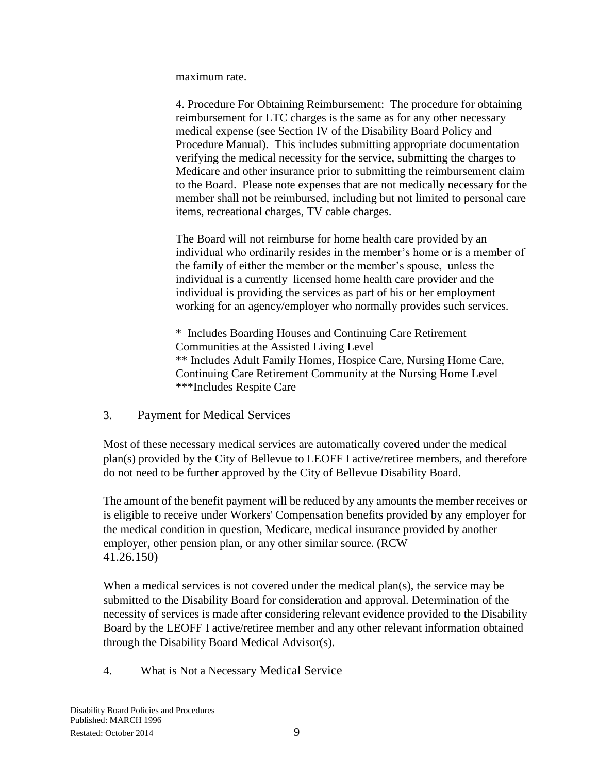maximum rate.

4. Procedure For Obtaining Reimbursement: The procedure for obtaining reimbursement for LTC charges is the same as for any other necessary medical expense (see Section IV of the Disability Board Policy and Procedure Manual). This includes submitting appropriate documentation verifying the medical necessity for the service, submitting the charges to Medicare and other insurance prior to submitting the reimbursement claim to the Board. Please note expenses that are not medically necessary for the member shall not be reimbursed, including but not limited to personal care items, recreational charges, TV cable charges.

The Board will not reimburse for home health care provided by an individual who ordinarily resides in the member's home or is a member of the family of either the member or the member's spouse, unless the individual is a currently licensed home health care provider and the individual is providing the services as part of his or her employment working for an agency/employer who normally provides such services.

\* Includes Boarding Houses and Continuing Care Retirement Communities at the Assisted Living Level \*\* Includes Adult Family Homes, Hospice Care, Nursing Home Care, Continuing Care Retirement Community at the Nursing Home Level \*\*\*Includes Respite Care

3. Payment for Medical Services

Most of these necessary medical services are automatically covered under the medical plan(s) provided by the City of Bellevue to LEOFF I active/retiree members, and therefore do not need to be further approved by the City of Bellevue Disability Board.

The amount of the benefit payment will be reduced by any amounts the member receives or is eligible to receive under Workers' Compensation benefits provided by any employer for the medical condition in question, Medicare, medical insurance provided by another employer, other pension plan, or any other similar source. (RCW 41.26.150)

When a medical services is not covered under the medical plan(s), the service may be submitted to the Disability Board for consideration and approval. Determination of the necessity of services is made after considering relevant evidence provided to the Disability Board by the LEOFF I active/retiree member and any other relevant information obtained through the Disability Board Medical Advisor(s).

4. What is Not a Necessary Medical Service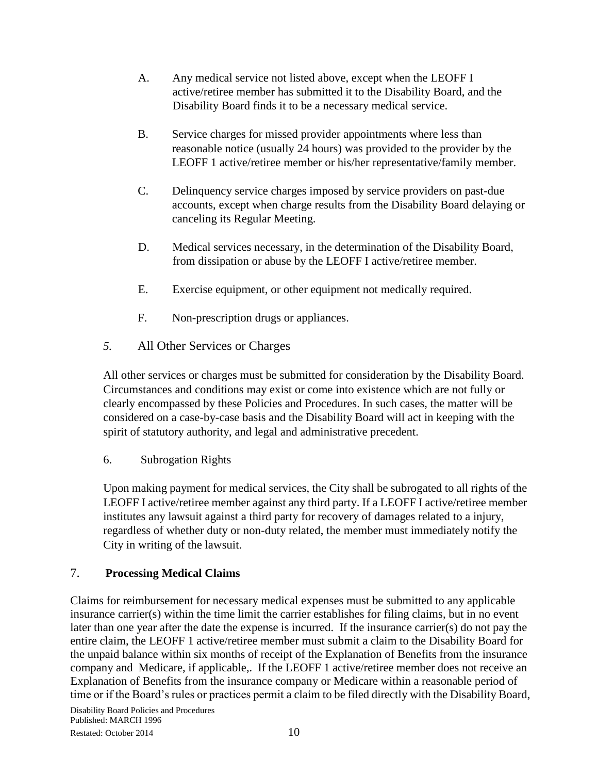- A. Any medical service not listed above, except when the LEOFF I active/retiree member has submitted it to the Disability Board, and the Disability Board finds it to be a necessary medical service.
- B. Service charges for missed provider appointments where less than reasonable notice (usually 24 hours) was provided to the provider by the LEOFF 1 active/retiree member or his/her representative/family member.
- C. Delinquency service charges imposed by service providers on past-due accounts, except when charge results from the Disability Board delaying or canceling its Regular Meeting.
- D. Medical services necessary, in the determination of the Disability Board, from dissipation or abuse by the LEOFF I active/retiree member.
- E. Exercise equipment, or other equipment not medically required.
- F. Non-prescription drugs or appliances.
- *5.* All Other Services or Charges

All other services or charges must be submitted for consideration by the Disability Board. Circumstances and conditions may exist or come into existence which are not fully or clearly encompassed by these Policies and Procedures. In such cases, the matter will be considered on a case-by-case basis and the Disability Board will act in keeping with the spirit of statutory authority, and legal and administrative precedent.

6. Subrogation Rights

Upon making payment for medical services, the City shall be subrogated to all rights of the LEOFF I active/retiree member against any third party. If a LEOFF I active/retiree member institutes any lawsuit against a third party for recovery of damages related to a injury, regardless of whether duty or non-duty related, the member must immediately notify the City in writing of the lawsuit.

## 7. **Processing Medical Claims**

Claims for reimbursement for necessary medical expenses must be submitted to any applicable insurance carrier(s) within the time limit the carrier establishes for filing claims, but in no event later than one year after the date the expense is incurred. If the insurance carrier(s) do not pay the entire claim, the LEOFF 1 active/retiree member must submit a claim to the Disability Board for the unpaid balance within six months of receipt of the Explanation of Benefits from the insurance company and Medicare, if applicable,. If the LEOFF 1 active/retiree member does not receive an Explanation of Benefits from the insurance company or Medicare within a reasonable period of time or if the Board's rules or practices permit a claim to be filed directly with the Disability Board,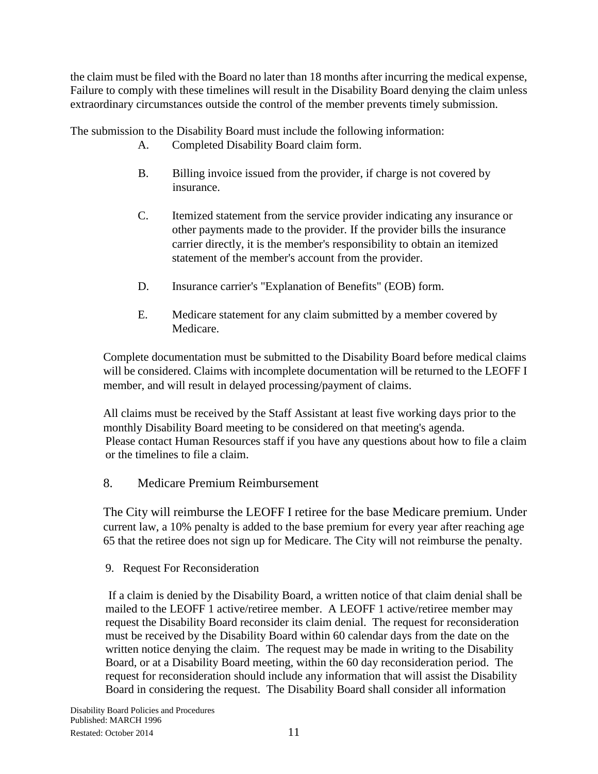the claim must be filed with the Board no later than 18 months after incurring the medical expense, Failure to comply with these timelines will result in the Disability Board denying the claim unless extraordinary circumstances outside the control of the member prevents timely submission.

The submission to the Disability Board must include the following information:

- A. Completed Disability Board claim form.
- B. Billing invoice issued from the provider, if charge is not covered by insurance.
- C. Itemized statement from the service provider indicating any insurance or other payments made to the provider. If the provider bills the insurance carrier directly, it is the member's responsibility to obtain an itemized statement of the member's account from the provider.
- D. Insurance carrier's "Explanation of Benefits" (EOB) form.
- E. Medicare statement for any claim submitted by a member covered by Medicare.

Complete documentation must be submitted to the Disability Board before medical claims will be considered. Claims with incomplete documentation will be returned to the LEOFF I member, and will result in delayed processing/payment of claims.

All claims must be received by the Staff Assistant at least five working days prior to the monthly Disability Board meeting to be considered on that meeting's agenda. Please contact Human Resources staff if you have any questions about how to file a claim or the timelines to file a claim.

## 8. Medicare Premium Reimbursement

The City will reimburse the LEOFF I retiree for the base Medicare premium. Under current law, a 10% penalty is added to the base premium for every year after reaching age 65 that the retiree does not sign up for Medicare. The City will not reimburse the penalty.

9. Request For Reconsideration

If a claim is denied by the Disability Board, a written notice of that claim denial shall be mailed to the LEOFF 1 active/retiree member. A LEOFF 1 active/retiree member may request the Disability Board reconsider its claim denial. The request for reconsideration must be received by the Disability Board within 60 calendar days from the date on the written notice denying the claim. The request may be made in writing to the Disability Board, or at a Disability Board meeting, within the 60 day reconsideration period. The request for reconsideration should include any information that will assist the Disability Board in considering the request. The Disability Board shall consider all information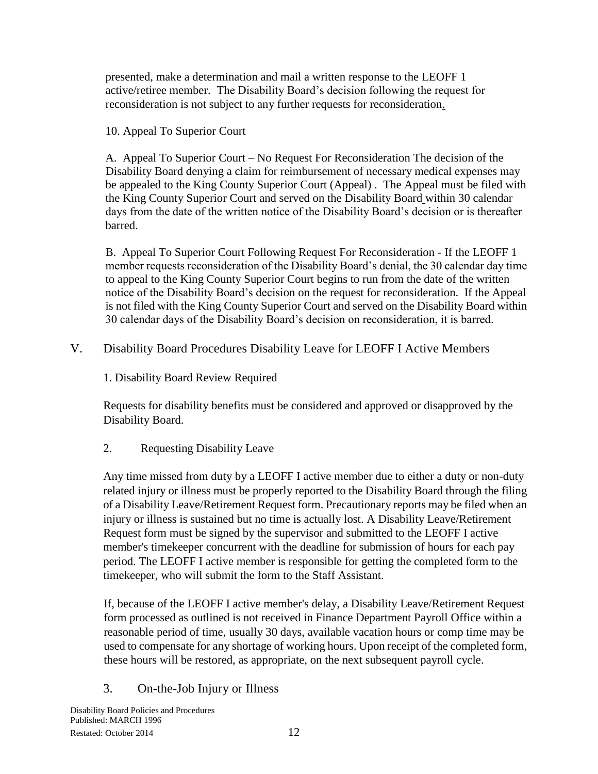presented, make a determination and mail a written response to the LEOFF 1 active/retiree member. The Disability Board's decision following the request for reconsideration is not subject to any further requests for reconsideration.

10. Appeal To Superior Court

A. Appeal To Superior Court – No Request For Reconsideration The decision of the Disability Board denying a claim for reimbursement of necessary medical expenses may be appealed to the King County Superior Court (Appeal) . The Appeal must be filed with the King County Superior Court and served on the Disability Board within 30 calendar days from the date of the written notice of the Disability Board's decision or is thereafter barred.

B. Appeal To Superior Court Following Request For Reconsideration - If the LEOFF 1 member requests reconsideration of the Disability Board's denial, the 30 calendar day time to appeal to the King County Superior Court begins to run from the date of the written notice of the Disability Board's decision on the request for reconsideration. If the Appeal is not filed with the King County Superior Court and served on the Disability Board within 30 calendar days of the Disability Board's decision on reconsideration, it is barred.

## V. Disability Board Procedures Disability Leave for LEOFF I Active Members

1. Disability Board Review Required

Requests for disability benefits must be considered and approved or disapproved by the Disability Board.

2. Requesting Disability Leave

Any time missed from duty by a LEOFF I active member due to either a duty or non-duty related injury or illness must be properly reported to the Disability Board through the filing of a Disability Leave/Retirement Request form. Precautionary reports may be filed when an injury or illness is sustained but no time is actually lost. A Disability Leave/Retirement Request form must be signed by the supervisor and submitted to the LEOFF I active member's timekeeper concurrent with the deadline for submission of hours for each pay period. The LEOFF I active member is responsible for getting the completed form to the timekeeper, who will submit the form to the Staff Assistant.

If, because of the LEOFF I active member's delay, a Disability Leave/Retirement Request form processed as outlined is not received in Finance Department Payroll Office within a reasonable period of time, usually 30 days, available vacation hours or comp time may be used to compensate for any shortage of working hours. Upon receipt of the completed form, these hours will be restored, as appropriate, on the next subsequent payroll cycle.

3. On-the-Job Injury or Illness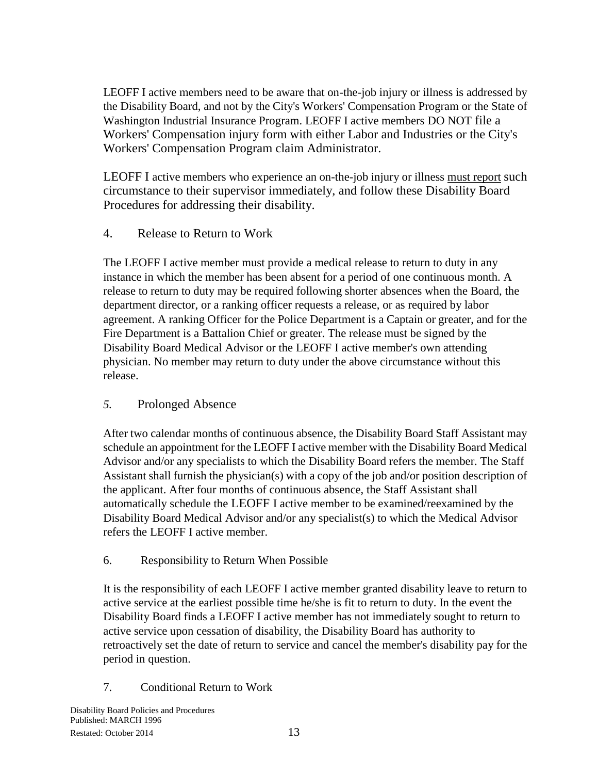LEOFF I active members need to be aware that on-the-job injury or illness is addressed by the Disability Board, and not by the City's Workers' Compensation Program or the State of Washington Industrial Insurance Program. LEOFF I active members DO NOT file a Workers' Compensation injury form with either Labor and Industries or the City's Workers' Compensation Program claim Administrator.

LEOFF I active members who experience an on-the-job injury or illness must report such circumstance to their supervisor immediately, and follow these Disability Board Procedures for addressing their disability.

4. Release to Return to Work

The LEOFF I active member must provide a medical release to return to duty in any instance in which the member has been absent for a period of one continuous month. A release to return to duty may be required following shorter absences when the Board, the department director, or a ranking officer requests a release, or as required by labor agreement. A ranking Officer for the Police Department is a Captain or greater, and for the Fire Department is a Battalion Chief or greater. The release must be signed by the Disability Board Medical Advisor or the LEOFF I active member's own attending physician. No member may return to duty under the above circumstance without this release.

## *5.* Prolonged Absence

After two calendar months of continuous absence, the Disability Board Staff Assistant may schedule an appointment for the LEOFF I active member with the Disability Board Medical Advisor and/or any specialists to which the Disability Board refers the member. The Staff Assistant shall furnish the physician(s) with a copy of the job and/or position description of the applicant. After four months of continuous absence, the Staff Assistant shall automatically schedule the LEOFF I active member to be examined/reexamined by the Disability Board Medical Advisor and/or any specialist(s) to which the Medical Advisor refers the LEOFF I active member.

#### 6. Responsibility to Return When Possible

It is the responsibility of each LEOFF I active member granted disability leave to return to active service at the earliest possible time he/she is fit to return to duty. In the event the Disability Board finds a LEOFF I active member has not immediately sought to return to active service upon cessation of disability, the Disability Board has authority to retroactively set the date of return to service and cancel the member's disability pay for the period in question.

## 7. Conditional Return to Work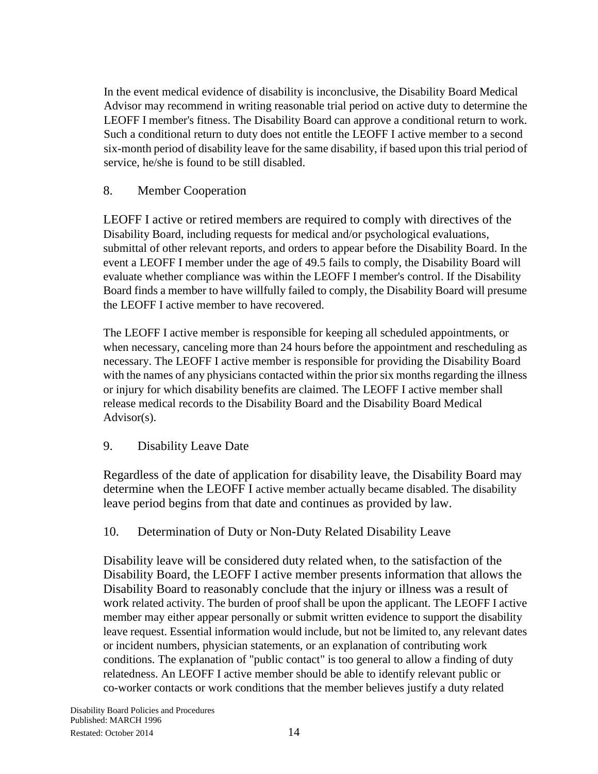In the event medical evidence of disability is inconclusive, the Disability Board Medical Advisor may recommend in writing reasonable trial period on active duty to determine the LEOFF I member's fitness. The Disability Board can approve a conditional return to work. Such a conditional return to duty does not entitle the LEOFF I active member to a second six-month period of disability leave for the same disability, if based upon this trial period of service, he/she is found to be still disabled.

#### 8. Member Cooperation

LEOFF I active or retired members are required to comply with directives of the Disability Board, including requests for medical and/or psychological evaluations, submittal of other relevant reports, and orders to appear before the Disability Board. In the event a LEOFF I member under the age of 49.5 fails to comply, the Disability Board will evaluate whether compliance was within the LEOFF I member's control. If the Disability Board finds a member to have willfully failed to comply, the Disability Board will presume the LEOFF I active member to have recovered.

The LEOFF I active member is responsible for keeping all scheduled appointments, or when necessary, canceling more than 24 hours before the appointment and rescheduling as necessary. The LEOFF I active member is responsible for providing the Disability Board with the names of any physicians contacted within the prior six months regarding the illness or injury for which disability benefits are claimed. The LEOFF I active member shall release medical records to the Disability Board and the Disability Board Medical Advisor(s).

## 9. Disability Leave Date

Regardless of the date of application for disability leave, the Disability Board may determine when the LEOFF I active member actually became disabled. The disability leave period begins from that date and continues as provided by law.

## 10. Determination of Duty or Non-Duty Related Disability Leave

Disability leave will be considered duty related when, to the satisfaction of the Disability Board, the LEOFF I active member presents information that allows the Disability Board to reasonably conclude that the injury or illness was a result of work related activity. The burden of proof shall be upon the applicant. The LEOFF I active member may either appear personally or submit written evidence to support the disability leave request. Essential information would include, but not be limited to, any relevant dates or incident numbers, physician statements, or an explanation of contributing work conditions. The explanation of "public contact" is too general to allow a finding of duty relatedness. An LEOFF I active member should be able to identify relevant public or co-worker contacts or work conditions that the member believes justify a duty related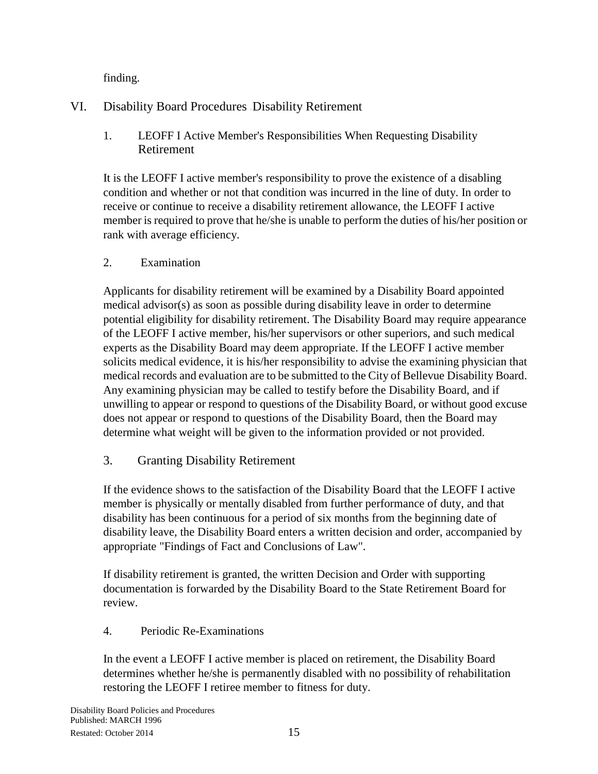finding.

## VI. Disability Board Procedures -Disability Retirement

1. LEOFF I Active Member's Responsibilities When Requesting Disability Retirement

It is the LEOFF I active member's responsibility to prove the existence of a disabling condition and whether or not that condition was incurred in the line of duty. In order to receive or continue to receive a disability retirement allowance, the LEOFF I active member is required to prove that he/she is unable to perform the duties of his/her position or rank with average efficiency.

## 2. Examination

Applicants for disability retirement will be examined by a Disability Board appointed medical advisor(s) as soon as possible during disability leave in order to determine potential eligibility for disability retirement. The Disability Board may require appearance of the LEOFF I active member, his/her supervisors or other superiors, and such medical experts as the Disability Board may deem appropriate. If the LEOFF I active member solicits medical evidence, it is his/her responsibility to advise the examining physician that medical records and evaluation are to be submitted to the City of Bellevue Disability Board. Any examining physician may be called to testify before the Disability Board, and if unwilling to appear or respond to questions of the Disability Board, or without good excuse does not appear or respond to questions of the Disability Board, then the Board may determine what weight will be given to the information provided or not provided.

## 3. Granting Disability Retirement

If the evidence shows to the satisfaction of the Disability Board that the LEOFF I active member is physically or mentally disabled from further performance of duty, and that disability has been continuous for a period of six months from the beginning date of disability leave, the Disability Board enters a written decision and order, accompanied by appropriate "Findings of Fact and Conclusions of Law".

If disability retirement is granted, the written Decision and Order with supporting documentation is forwarded by the Disability Board to the State Retirement Board for review.

## 4. Periodic Re-Examinations

In the event a LEOFF I active member is placed on retirement, the Disability Board determines whether he/she is permanently disabled with no possibility of rehabilitation restoring the LEOFF I retiree member to fitness for duty.